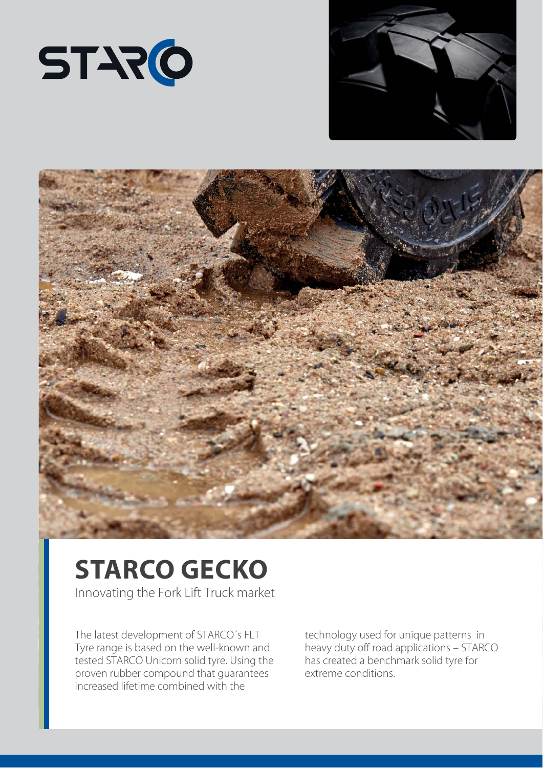





## **STARCO GECKO**

Innovating the Fork Lift Truck market

The latest development of STARCO´s FLT Tyre range is based on the well-known and tested STARCO Unicorn solid tyre. Using the proven rubber compound that guarantees increased lifetime combined with the

technology used for unique patterns in heavy duty off road applications – STARCO has created a benchmark solid tyre for extreme conditions.